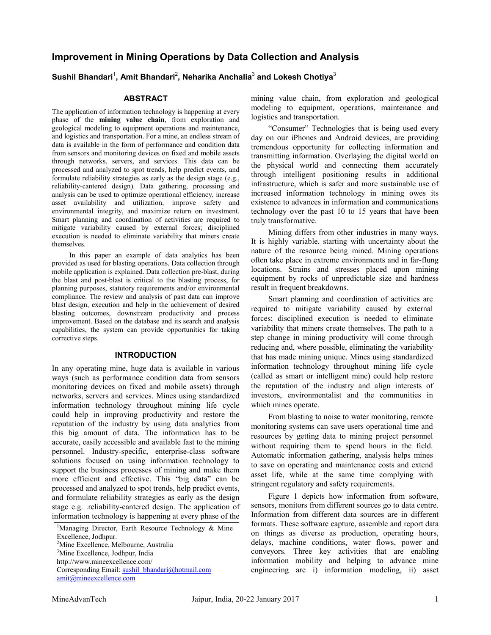## **Improvement in Mining Operations by Data Collection and Analysis**

## $\boldsymbol{\mathsf{S} }$ ushil Bhandari<sup>2</sup>, Neharika Anchalia $^3$  and Lokesh Chotiya $^3$

#### **ABSTRACT**

The application of information technology is happening at every phase of the **mining value chain**, from exploration and geological modeling to equipment operations and maintenance, and logistics and transportation. For a mine, an endless stream of data is available in the form of performance and condition data from sensors and monitoring devices on fixed and mobile assets through networks, servers, and services. This data can be processed and analyzed to spot trends, help predict events, and formulate reliability strategies as early as the design stage (e.g., reliability-cantered design). Data gathering, processing and analysis can be used to optimize operational efficiency, increase asset availability and utilization, improve safety and environmental integrity, and maximize return on investment. Smart planning and coordination of activities are required to mitigate variability caused by external forces; disciplined execution is needed to eliminate variability that miners create themselves.

In this paper an example of data analytics has been provided as used for blasting operations. Data collection through mobile application is explained. Data collection pre-blast, during the blast and post-blast is critical to the blasting process, for planning purposes, statutory requirements and/or environmental compliance. The review and analysis of past data can improve blast design, execution and help in the achievement of desired blasting outcomes, downstream productivity and process improvement. Based on the database and its search and analysis capabilities, the system can provide opportunities for taking corrective steps.

#### **INTRODUCTION**

In any operating mine, huge data is available in various ways (such as performance condition data from sensors monitoring devices on fixed and mobile assets) through networks, servers and services. Mines using standardized information technology throughout mining life cycle could help in improving productivity and restore the reputation of the industry by using data analytics from this big amount of data. The information has to be accurate, easily accessible and available fast to the mining personnel. Industry-specific, enterprise-class software solutions focused on using information technology to support the business processes of mining and make them more efficient and effective. This "big data" can be processed and analyzed to spot trends, help predict events, and formulate reliability strategies as early as the design stage e.g. .reliability-cantered design. The application of information technology is happening at every phase of the mining value chain, from exploration and geological modeling to equipment, operations, maintenance and logistics and transportation.

"Consumer" Technologies that is being used every day on our iPhones and Android devices, are providing tremendous opportunity for collecting information and transmitting information. Overlaying the digital world on the physical world and connecting them accurately through intelligent positioning results in additional infrastructure, which is safer and more sustainable use of increased information technology in mining owes its existence to advances in information and communications technology over the past 10 to 15 years that have been truly transformative.

Mining differs from other industries in many ways. It is highly variable, starting with uncertainty about the nature of the resource being mined. Mining operations often take place in extreme environments and in far-flung locations. Strains and stresses placed upon mining equipment by rocks of unpredictable size and hardness result in frequent breakdowns.

Smart planning and coordination of activities are required to mitigate variability caused by external forces; disciplined execution is needed to eliminate variability that miners create themselves. The path to a step change in mining productivity will come through reducing and, where possible, eliminating the variability that has made mining unique. Mines using standardized information technology throughout mining life cycle (called as smart or intelligent mine) could help restore the reputation of the industry and align interests of investors, environmentalist and the communities in which mines operate.

From blasting to noise to water monitoring, remote monitoring systems can save users operational time and resources by getting data to mining project personnel without requiring them to spend hours in the field. Automatic information gathering, analysis helps mines to save on operating and maintenance costs and extend asset life, while at the same time complying with stringent regulatory and safety requirements.

Figure 1 depicts how information from software, sensors, monitors from different sources go to data centre. Information from different data sources are in different formats. These software capture, assemble and report data on things as diverse as production, operating hours, delays, machine conditions, water flows, power and conveyors. Three key activities that are enabling information mobility and helping to advance mine engineering are i) information modeling, ii) asset

<sup>&</sup>lt;sup>1</sup>Managing Director, Earth Resource Technology & Mine Excellence, Jodhpur. <sup>2</sup>Mine Excellence, Melbourne, Australia<br><sup>3</sup>Mine Excellence, Jodhnur, India <sup>3</sup>Mine Excellence, Jodhpur, India http://www.mineexcellence.com/ Corresponding Email: sushil\_bhandari@hotmail.com amit@mineexcellence.com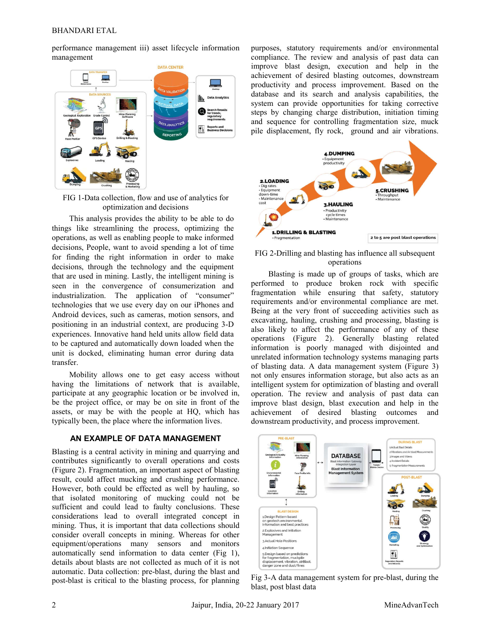performance management iii) asset lifecycle information management



FIG 1-Data collection, flow and use of analytics for optimization and decisions

This analysis provides the ability to be able to do things like streamlining the process, optimizing the operations, as well as enabling people to make informed decisions, People, want to avoid spending a lot of time for finding the right information in order to make decisions, through the technology and the equipment that are used in mining. Lastly, the intelligent mining is seen in the convergence of consumerization and industrialization. The application of "consumer" technologies that we use every day on our iPhones and Android devices, such as cameras, motion sensors, and positioning in an industrial context, are producing 3-D experiences. Innovative hand held units allow field data to be captured and automatically down loaded when the unit is docked, eliminating human error during data transfer.

Mobility allows one to get easy access without having the limitations of network that is available, participate at any geographic location or be involved in, be the project office, or may be on site in front of the assets, or may be with the people at HQ, which has typically been, the place where the information lives.

### **AN EXAMPLE OF DATA MANAGEMENT**

Blasting is a central activity in mining and quarrying and contributes significantly to overall operations and costs (Figure 2). Fragmentation, an important aspect of blasting result, could affect mucking and crushing performance. However, both could be effected as well by hauling, so that isolated monitoring of mucking could not be sufficient and could lead to faulty conclusions. These considerations lead to overall integrated concept in mining. Thus, it is important that data collections should consider overall concepts in mining. Whereas for other equipment/operations many sensors and monitors automatically send information to data center (Fig 1), details about blasts are not collected as much of it is not automatic. Data collection: pre-blast, during the blast and post-blast is critical to the blasting process, for planning purposes, statutory requirements and/or environmental compliance. The review and analysis of past data can improve blast design, execution and help in the achievement of desired blasting outcomes, downstream productivity and process improvement. Based on the database and its search and analysis capabilities, the system can provide opportunities for taking corrective steps by changing charge distribution, initiation timing and sequence for controlling fragmentation size, muck pile displacement, fly rock, ground and air vibrations.



FIG 2-Drilling and blasting has influence all subsequent operations

Blasting is made up of groups of tasks, which are performed to produce broken rock with specific fragmentation while ensuring that safety, statutory requirements and/or environmental compliance are met. Being at the very front of succeeding activities such as excavating, hauling, crushing and processing, blasting is also likely to affect the performance of any of these operations (Figure 2). Generally blasting related information is poorly managed with disjointed and unrelated information technology systems managing parts of blasting data. A data management system (Figure 3) not only ensures information storage, but also acts as an intelligent system for optimization of blasting and overall operation. The review and analysis of past data can improve blast design, blast execution and help in the achievement of desired blasting outcomes and downstream productivity, and process improvement.



Fig 3-A data management system for pre-blast, during the blast, post blast data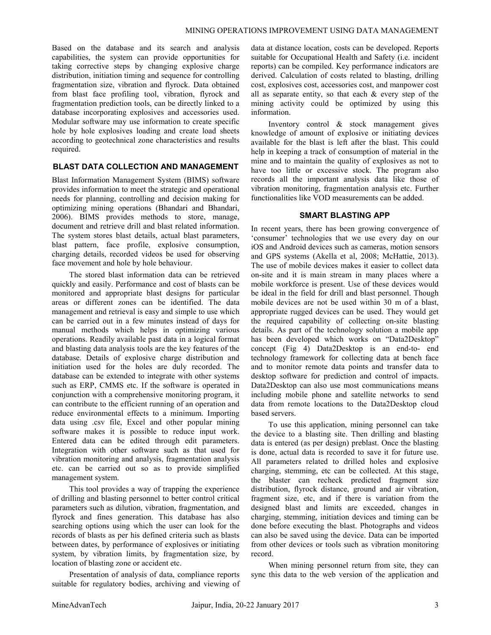Based on the database and its search and analysis capabilities, the system can provide opportunities for taking corrective steps by changing explosive charge distribution, initiation timing and sequence for controlling fragmentation size, vibration and flyrock. Data obtained from blast face profiling tool, vibration, flyrock and fragmentation prediction tools, can be directly linked to a database incorporating explosives and accessories used. Modular software may use information to create specific hole by hole explosives loading and create load sheets according to geotechnical zone characteristics and results required.

## **BLAST DATA COLLECTION AND MANAGEMENT**

Blast Information Management System (BIMS) software provides information to meet the strategic and operational needs for planning, controlling and decision making for optimizing mining operations (Bhandari and Bhandari, 2006). BIMS provides methods to store, manage, document and retrieve drill and blast related information. The system stores blast details, actual blast parameters, blast pattern, face profile, explosive consumption, charging details, recorded videos be used for observing face movement and hole by hole behaviour.

The stored blast information data can be retrieved quickly and easily. Performance and cost of blasts can be monitored and appropriate blast designs for particular areas or different zones can be identified. The data management and retrieval is easy and simple to use which can be carried out in a few minutes instead of days for manual methods which helps in optimizing various operations. Readily available past data in a logical format and blasting data analysis tools are the key features of the database. Details of explosive charge distribution and initiation used for the holes are duly recorded. The database can be extended to integrate with other systems such as ERP, CMMS etc. If the software is operated in conjunction with a comprehensive monitoring program, it can contribute to the efficient running of an operation and reduce environmental effects to a minimum. Importing data using .csv file, Excel and other popular mining software makes it is possible to reduce input work. Entered data can be edited through edit parameters. Integration with other software such as that used for vibration monitoring and analysis, fragmentation analysis etc. can be carried out so as to provide simplified management system.

This tool provides a way of trapping the experience of drilling and blasting personnel to better control critical parameters such as dilution, vibration, fragmentation, and flyrock and fines generation. This database has also searching options using which the user can look for the records of blasts as per his defined criteria such as blasts between dates, by performance of explosives or initiating system, by vibration limits, by fragmentation size, by location of blasting zone or accident etc.

Presentation of analysis of data, compliance reports suitable for regulatory bodies, archiving and viewing of data at distance location, costs can be developed. Reports suitable for Occupational Health and Safety (i.e. incident reports) can be compiled. Key performance indicators are derived. Calculation of costs related to blasting, drilling cost, explosives cost, accessories cost, and manpower cost all as separate entity, so that each & every step of the mining activity could be optimized by using this information.

Inventory control & stock management gives knowledge of amount of explosive or initiating devices available for the blast is left after the blast. This could help in keeping a track of consumption of material in the mine and to maintain the quality of explosives as not to have too little or excessive stock. The program also records all the important analysis data like those of vibration monitoring, fragmentation analysis etc. Further functionalities like VOD measurements can be added.

#### **SMART BLASTING APP**

In recent years, there has been growing convergence of 'consumer' technologies that we use every day on our iOS and Android devices such as cameras, motion sensors and GPS systems (Akella et al, 2008; McHattie, 2013). The use of mobile devices makes it easier to collect data on-site and it is main stream in many places where a mobile workforce is present. Use of these devices would be ideal in the field for drill and blast personnel. Though mobile devices are not be used within 30 m of a blast, appropriate rugged devices can be used. They would get the required capability of collecting on-site blasting details. As part of the technology solution a mobile app has been developed which works on "Data2Desktop" concept (Fig 4) Data2Desktop is an end-to- end technology framework for collecting data at bench face and to monitor remote data points and transfer data to desktop software for prediction and control of impacts. Data2Desktop can also use most communications means including mobile phone and satellite networks to send data from remote locations to the Data2Desktop cloud based servers.

To use this application, mining personnel can take the device to a blasting site. Then drilling and blasting data is entered (as per design) preblast. Once the blasting is done, actual data is recorded to save it for future use. All parameters related to drilled holes and explosive charging, stemming, etc can be collected. At this stage, the blaster can recheck predicted fragment size distribution, flyrock distance, ground and air vibration, fragment size, etc, and if there is variation from the designed blast and limits are exceeded, changes in charging, stemming, initiation devices and timing can be done before executing the blast. Photographs and videos can also be saved using the device. Data can be imported from other devices or tools such as vibration monitoring record.

When mining personnel return from site, they can sync this data to the web version of the application and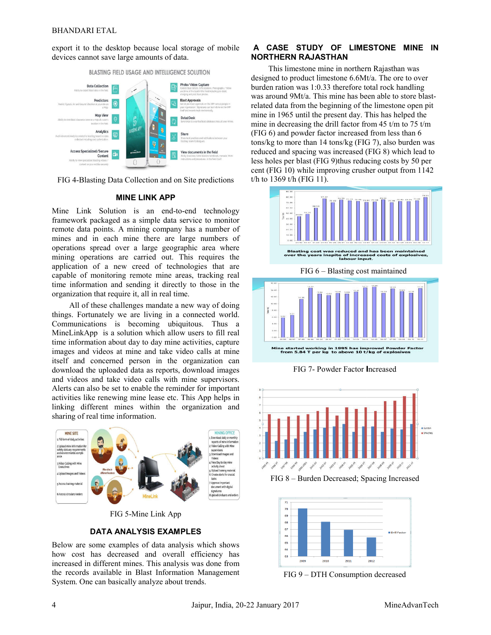export it to the desktop because local storage of mobile devices cannot save large amounts of data.



FIG 4-Blasting Data Collection and on Site predictions

#### **MINE LINK APP**

FIG 4-Blasting Data Collection and on Site predictions<br> **MINE LINK APP**<br>
Mine Link Solution is an end-to-end technology framework packaged as a simple data service to monitor remote data points. A mining company has a number of mines and in each mine there are large numbers of operations spread over a large geographic area where mining operations are carried out. This requires the application of a new creed of technologies that are capable of monitoring remote mine areas, tracking real time information and sending it directly to those in the organization that require it, all in real time.

All of these challenges mandate a new way of doing things. Fortunately we are living in a connected world. Communications is becoming ubiquitous. Thus a MineLinkApp is a solution which allow users to fill real time information about day to day mine activities, capture images and videos at mine and take video calls at mine itself and concerned person in the organization can download the uploaded data as reports, download images and videos and take video calls with mine supervisors. Alerts can also be set to enable the reminder for important activities like renewing mine lease etc. This App helps in linking different mines within the organization and sharing of real time information.



FIG 5-Mine Link App

#### **DATA ANALYSIS EXAMPLES**

Below are some examples of data analysis which shows how cost has decreased and overall efficiency has increased in different mines. This analysis was done from the records available in Blast Information Management System. One can basically analyze about trends.

## **A CASE STUDY OF LIMESTONE MINE IN LIMESTONE NORTHERN RAJASTHAN**

This limestone mine in northern Rajasthan was designed to product limestone 6.6Mt/a. The ore to over designed to product limestone 6.6Mt/a. The ore to over<br>burden ration was 1:0.33 therefore total rock handling was around 9Mt/a. This mine has been able to store blastrelated data from the beginning of the limestone open pit mine in 1965 until the present day. This has helped the 1965 mine in decreasing the drill factor from 45 t/m to 75 t/m mine in decreasing the drill factor from 45 t/m to 75 t<br>(FIG 6) and powder factor increased from less than 6 tons/kg to more than 14 tons/kg (FIG 7), also burden was reduced and spacing was increased (FIG 8) which lead to less holes per blast (FIG 9)thus reducing costs by 50 per cent (FIG 10) while improving crusher output from 1142 t/h to  $1369$  t/h (FIG 11).



FIG 7- Powder Factor **I I**ncreased



FIG 8 – Burden Decreased; Spacing Increased



FIG 9 – DTH Consumption decreased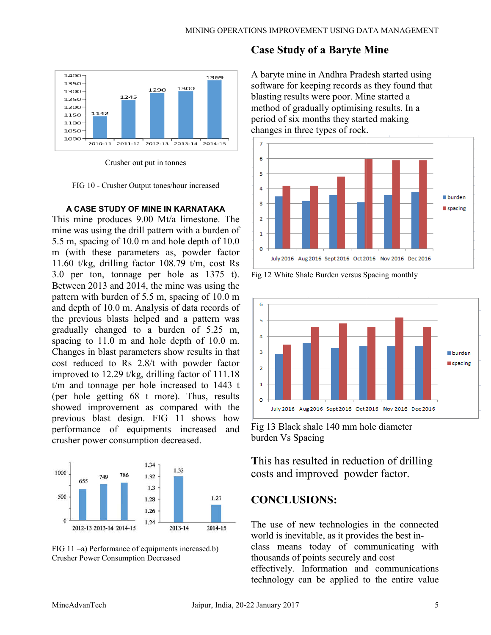

Crusher out put in tonnes

FIG 10 - Crusher Output tones/hour increased

### **A CASE STUDY OF MINE IN KARNATAKA**

This mine produces 9.00 Mt/a limestone. The mine was using the drill pattern with a burden of 5.5 m, spacing of 10.0 m and hole depth of 10.0 m (with these parameters as, powder factor 11.60 t/kg, drilling factor 108.79 t/m, cost Rs 3.0 per ton, tonnage per hole as 1375 t). Between 2013 and 2014, the mine was using the pattern with burden of 5.5 m, spacing of 10.0 m and depth of 10.0 m. Analysis of data records of the previous blasts helped and a pattern was gradually changed to a burden of 5.25 m, spacing to 11.0 m and hole depth of 10.0 m. Changes in blast parameters show results in that cost reduced to Rs 2.8/t with powder factor improved to 12.29 t/kg, drilling factor of 111.18 t/m and tonnage per hole increased to 1443 t (per hole getting 68 t more). Thus, results showed improvement as compared with the previous blast design. FIG 11 shows how performance of equipments increased and crusher power consumption decreased. r hole as 1375 t).<br>
ie mine was using the<br>
m, spacing of 10.0 m<br>
sis of data records of<br>
l and a pattern was<br>
burden of 5.25 m,<br>
ble depth of 10.0 m.<br>
s show results in that<br>
with powder factor<br>
lling factor of 111.18<br>
inc





# **Case Study of a Baryte Mine**

A baryte mine in Andhra Pradesh started using software for keeping records as they found that blasting results were poor. Mine started a method of gradually optimising results. In a period of six months they started making changes in three types of rock.







Fig 13 Black shale 140 mm hole diameter burden Vs Spacing

**T**his has resulted in reduction of drilling costs and improved powder factor.

# **CONCLUSIONS:**

The use of new technologies in the connected world is inevitable, as it provides the best inclass means today of communicating with thousands of points securely and cost effectively. Information and communications securely effectively. Information and

technology can be applied to the entire value